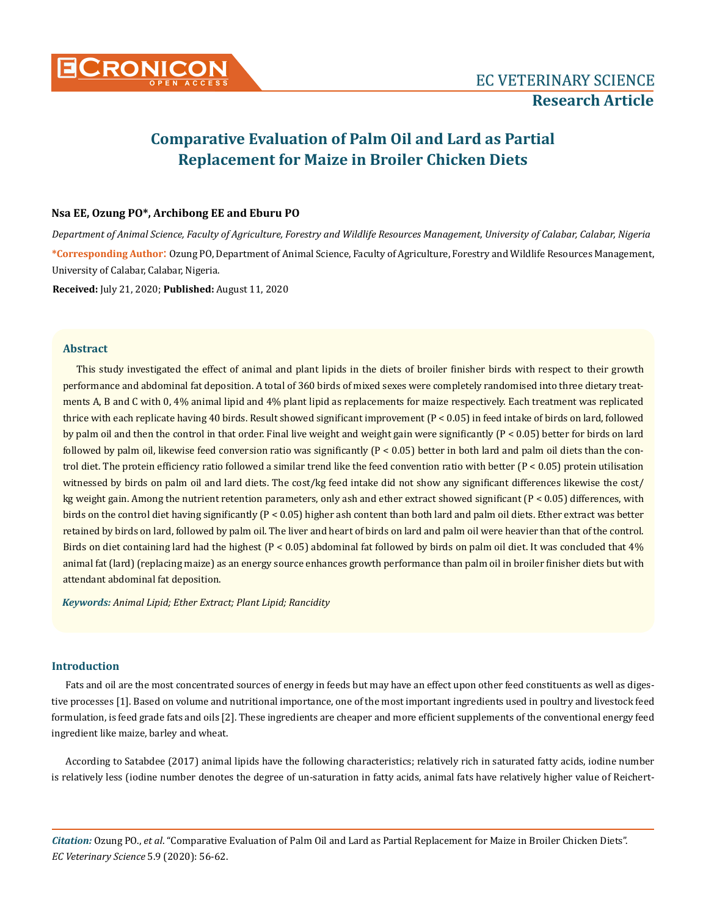

# **Comparative Evaluation of Palm Oil and Lard as Partial Replacement for Maize in Broiler Chicken Diets**

# **Nsa EE, Ozung PO\*, Archibong EE and Eburu PO**

*Department of Animal Science, Faculty of Agriculture, Forestry and Wildlife Resources Management, University of Calabar, Calabar, Nigeria* **\*Corresponding Author**: Ozung PO, Department of Animal Science, Faculty of Agriculture, Forestry and Wildlife Resources Management, University of Calabar, Calabar, Nigeria.

**Received:** July 21, 2020; **Published:** August 11, 2020

## **Abstract**

This study investigated the effect of animal and plant lipids in the diets of broiler finisher birds with respect to their growth performance and abdominal fat deposition. A total of 360 birds of mixed sexes were completely randomised into three dietary treatments A, B and C with 0, 4% animal lipid and 4% plant lipid as replacements for maize respectively. Each treatment was replicated thrice with each replicate having 40 birds. Result showed significant improvement (P < 0.05) in feed intake of birds on lard, followed by palm oil and then the control in that order. Final live weight and weight gain were significantly (P < 0.05) better for birds on lard followed by palm oil, likewise feed conversion ratio was significantly  $(P < 0.05)$  better in both lard and palm oil diets than the control diet. The protein efficiency ratio followed a similar trend like the feed convention ratio with better (P < 0.05) protein utilisation witnessed by birds on palm oil and lard diets. The cost/kg feed intake did not show any significant differences likewise the cost/ kg weight gain. Among the nutrient retention parameters, only ash and ether extract showed significant (P < 0.05) differences, with birds on the control diet having significantly (P < 0.05) higher ash content than both lard and palm oil diets. Ether extract was better retained by birds on lard, followed by palm oil. The liver and heart of birds on lard and palm oil were heavier than that of the control. Birds on diet containing lard had the highest (P < 0.05) abdominal fat followed by birds on palm oil diet. It was concluded that 4% animal fat (lard) (replacing maize) as an energy source enhances growth performance than palm oil in broiler finisher diets but with attendant abdominal fat deposition.

*Keywords: Animal Lipid; Ether Extract; Plant Lipid; Rancidity*

# **Introduction**

Fats and oil are the most concentrated sources of energy in feeds but may have an effect upon other feed constituents as well as digestive processes [1]. Based on volume and nutritional importance, one of the most important ingredients used in poultry and livestock feed formulation, is feed grade fats and oils [2]. These ingredients are cheaper and more efficient supplements of the conventional energy feed ingredient like maize, barley and wheat.

According to Satabdee (2017) animal lipids have the following characteristics; relatively rich in saturated fatty acids, iodine number is relatively less (iodine number denotes the degree of un-saturation in fatty acids, animal fats have relatively higher value of Reichert-

*Citation:* Ozung PO., *et al*. "Comparative Evaluation of Palm Oil and Lard as Partial Replacement for Maize in Broiler Chicken Diets". *EC Veterinary Science* 5.9 (2020): 56-62.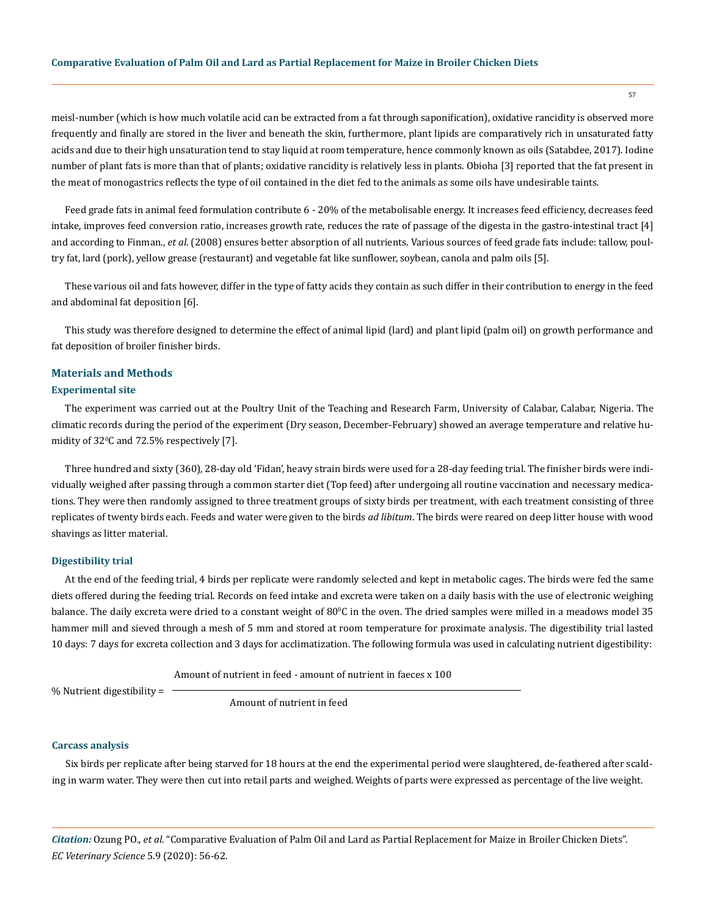#### **Comparative Evaluation of Palm Oil and Lard as Partial Replacement for Maize in Broiler Chicken Diets**

meisl-number (which is how much volatile acid can be extracted from a fat through saponification), oxidative rancidity is observed more frequently and finally are stored in the liver and beneath the skin, furthermore, plant lipids are comparatively rich in unsaturated fatty acids and due to their high unsaturation tend to stay liquid at room temperature, hence commonly known as oils (Satabdee, 2017). Iodine number of plant fats is more than that of plants; oxidative rancidity is relatively less in plants. Obioha [3] reported that the fat present in the meat of monogastrics reflects the type of oil contained in the diet fed to the animals as some oils have undesirable taints.

Feed grade fats in animal feed formulation contribute 6 - 20% of the metabolisable energy. It increases feed efficiency, decreases feed intake, improves feed conversion ratio, increases growth rate, reduces the rate of passage of the digesta in the gastro-intestinal tract [4] and according to Finman., *et al*. (2008) ensures better absorption of all nutrients. Various sources of feed grade fats include: tallow, poultry fat, lard (pork), yellow grease (restaurant) and vegetable fat like sunflower, soybean, canola and palm oils [5].

These various oil and fats however, differ in the type of fatty acids they contain as such differ in their contribution to energy in the feed and abdominal fat deposition [6].

This study was therefore designed to determine the effect of animal lipid (lard) and plant lipid (palm oil) on growth performance and fat deposition of broiler finisher birds.

# **Materials and Methods**

#### **Experimental site**

The experiment was carried out at the Poultry Unit of the Teaching and Research Farm, University of Calabar, Calabar, Nigeria. The climatic records during the period of the experiment (Dry season, December-February) showed an average temperature and relative humidity of  $32^{\circ}$ C and  $72.5\%$  respectively [7].

Three hundred and sixty (360), 28-day old 'Fidan', heavy strain birds were used for a 28-day feeding trial. The finisher birds were individually weighed after passing through a common starter diet (Top feed) after undergoing all routine vaccination and necessary medications. They were then randomly assigned to three treatment groups of sixty birds per treatment, with each treatment consisting of three replicates of twenty birds each. Feeds and water were given to the birds *ad libitum*. The birds were reared on deep litter house with wood shavings as litter material.

#### **Digestibility trial**

At the end of the feeding trial, 4 birds per replicate were randomly selected and kept in metabolic cages. The birds were fed the same diets offered during the feeding trial. Records on feed intake and excreta were taken on a daily basis with the use of electronic weighing balance. The daily excreta were dried to a constant weight of 80°C in the oven. The dried samples were milled in a meadows model 35 hammer mill and sieved through a mesh of 5 mm and stored at room temperature for proximate analysis. The digestibility trial lasted 10 days: 7 days for excreta collection and 3 days for acclimatization. The following formula was used in calculating nutrient digestibility:

Amount of nutrient in feed - amount of nutrient in faeces x 100

% Nutrient digestibility =

Amount of nutrient in feed

#### **Carcass analysis**

Six birds per replicate after being starved for 18 hours at the end the experimental period were slaughtered, de-feathered after scalding in warm water. They were then cut into retail parts and weighed. Weights of parts were expressed as percentage of the live weight.

*Citation:* Ozung PO., *et al*. "Comparative Evaluation of Palm Oil and Lard as Partial Replacement for Maize in Broiler Chicken Diets". *EC Veterinary Science* 5.9 (2020): 56-62.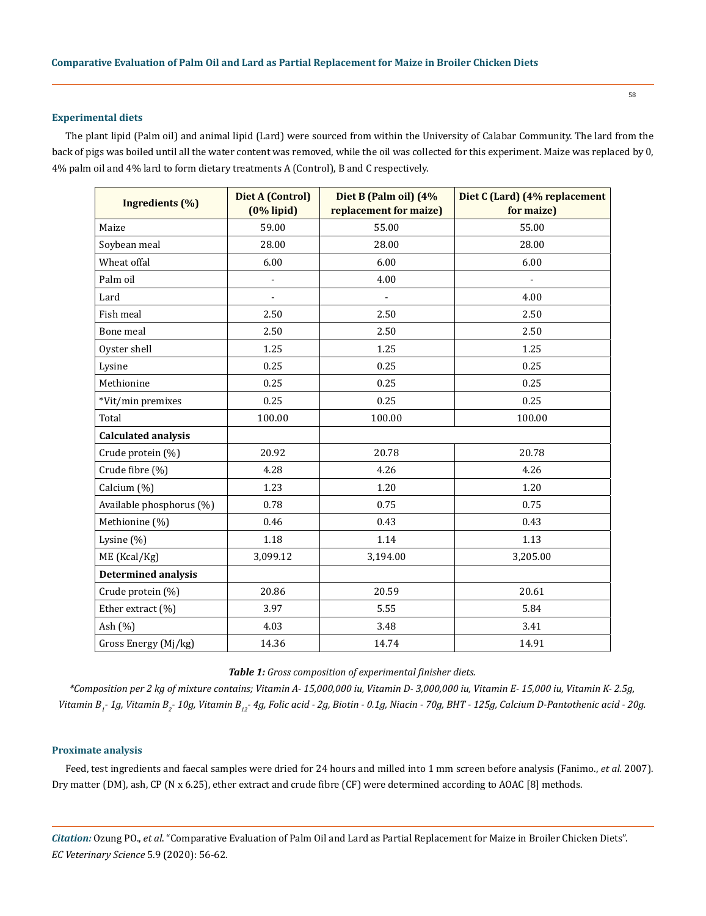## **Experimental diets**

The plant lipid (Palm oil) and animal lipid (Lard) were sourced from within the University of Calabar Community. The lard from the back of pigs was boiled until all the water content was removed, while the oil was collected for this experiment. Maize was replaced by 0, 4% palm oil and 4% lard to form dietary treatments A (Control), B and C respectively.

| <b>Ingredients</b> (%)     | Diet A (Control)<br>$(0%$ lipid) | Diet B (Palm oil) (4%<br>replacement for maize) | Diet C (Lard) (4% replacement<br>for maize) |  |
|----------------------------|----------------------------------|-------------------------------------------------|---------------------------------------------|--|
| Maize                      | 59.00                            | 55.00                                           | 55.00                                       |  |
| Soybean meal               | 28.00                            | 28.00                                           | 28.00                                       |  |
| Wheat offal                | 6.00                             | 6.00                                            | 6.00                                        |  |
| Palm oil                   |                                  | 4.00                                            |                                             |  |
| Lard                       |                                  |                                                 | 4.00                                        |  |
| Fish meal                  | 2.50                             | 2.50                                            | 2.50                                        |  |
| Bone meal                  | 2.50                             | 2.50                                            | 2.50                                        |  |
| Oyster shell               | 1.25                             | 1.25                                            | 1.25                                        |  |
| Lysine                     | 0.25                             | 0.25                                            | 0.25                                        |  |
| Methionine                 | 0.25                             | 0.25                                            | 0.25                                        |  |
| *Vit/min premixes          | 0.25                             | 0.25                                            | 0.25                                        |  |
| Total                      | 100.00                           | 100.00                                          | 100.00                                      |  |
| <b>Calculated analysis</b> |                                  |                                                 |                                             |  |
| Crude protein (%)          | 20.92                            | 20.78                                           | 20.78                                       |  |
| Crude fibre (%)            | 4.28                             | 4.26                                            | 4.26                                        |  |
| Calcium (%)                | 1.23                             | 1.20                                            | 1.20                                        |  |
| Available phosphorus (%)   | 0.78                             | 0.75                                            | 0.75                                        |  |
| Methionine (%)             | 0.46                             | 0.43                                            | 0.43                                        |  |
| Lysine (%)                 | 1.18                             | 1.14                                            | 1.13                                        |  |
| ME (Kcal/Kg)               | 3,099.12                         | 3,194.00                                        | 3,205.00                                    |  |
| <b>Determined analysis</b> |                                  |                                                 |                                             |  |
| Crude protein (%)          | 20.86                            | 20.59                                           | 20.61                                       |  |
| Ether extract (%)          | 3.97                             | 5.55                                            | 5.84                                        |  |
| Ash $(\% )$                | 4.03                             | 3.48                                            | 3.41                                        |  |
| Gross Energy (Mj/kg)       | 14.36                            | 14.74                                           | 14.91                                       |  |

## *Table 1: Gross composition of experimental finisher diets.*

*\*Composition per 2 kg of mixture contains; Vitamin A- 15,000,000 iu, Vitamin D- 3,000,000 iu, Vitamin E- 15,000 iu, Vitamin K- 2.5g,*  Vitamin B<sub>1</sub>- 1g, Vitamin B<sub>2</sub>- 10g, Vitamin B<sub>12</sub>- 4g, Folic acid - 2g, Biotin - 0.1g, Niacin - 70g, BHT - 125g, Calcium D-Pantothenic acid - 20g.

## **Proximate analysis**

Feed, test ingredients and faecal samples were dried for 24 hours and milled into 1 mm screen before analysis (Fanimo., et al. 2007). Dry matter (DM), ash, CP (N x 6.25), ether extract and crude fibre (CF) were determined according to AOAC [8] methods.

*Citation:* Ozung PO., *et al*. "Comparative Evaluation of Palm Oil and Lard as Partial Replacement for Maize in Broiler Chicken Diets". *EC Veterinary Science* 5.9 (2020): 56-62.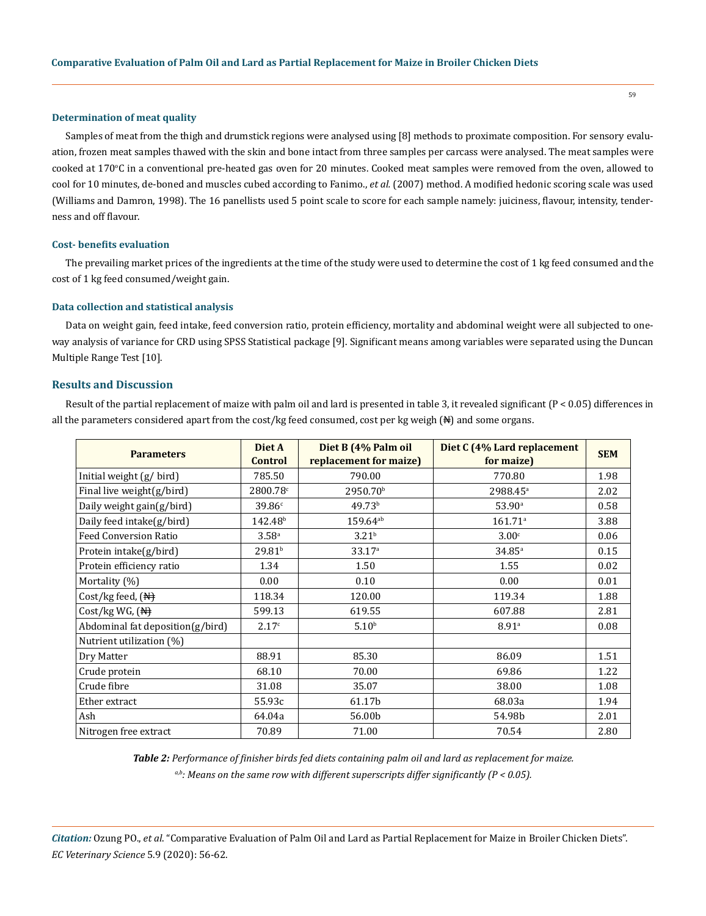#### **Determination of meat quality**

Samples of meat from the thigh and drumstick regions were analysed using [8] methods to proximate composition. For sensory evaluation, frozen meat samples thawed with the skin and bone intact from three samples per carcass were analysed. The meat samples were cooked at 170<sup>o</sup> C in a conventional pre-heated gas oven for 20 minutes. Cooked meat samples were removed from the oven, allowed to cool for 10 minutes, de-boned and muscles cubed according to Fanimo., *et al.* (2007) method. A modified hedonic scoring scale was used (Williams and Damron, 1998). The 16 panellists used 5 point scale to score for each sample namely: juiciness, flavour, intensity, tenderness and off flavour.

#### **Cost- benefits evaluation**

The prevailing market prices of the ingredients at the time of the study were used to determine the cost of 1 kg feed consumed and the cost of 1 kg feed consumed/weight gain.

#### **Data collection and statistical analysis**

Data on weight gain, feed intake, feed conversion ratio, protein efficiency, mortality and abdominal weight were all subjected to oneway analysis of variance for CRD using SPSS Statistical package [9]. Significant means among variables were separated using the Duncan Multiple Range Test [10].

#### **Results and Discussion**

Result of the partial replacement of maize with palm oil and lard is presented in table 3, it revealed significant (P < 0.05) differences in all the parameters considered apart from the cost/kg feed consumed, cost per kg weigh  $(N)$  and some organs.

| <b>Parameters</b>                   | Diet A<br><b>Control</b> | Diet B (4% Palm oil<br>replacement for maize) | Diet C (4% Lard replacement<br>for maize) | <b>SEM</b> |
|-------------------------------------|--------------------------|-----------------------------------------------|-------------------------------------------|------------|
| Initial weight (g/bird)             | 785.50                   | 790.00                                        | 770.80                                    | 1.98       |
| Final live weight(g/bird)           | 2800.78c                 | 2950.70 <sup>b</sup>                          | 2988.45 <sup>a</sup>                      | 2.02       |
| Daily weight gain(g/bird)           | 39.86c                   | 49.73 <sup>b</sup>                            | 53.90a                                    | 0.58       |
| Daily feed intake(g/bird)           | 142.48 <sup>b</sup>      | $159.64^{ab}$                                 | $161.71$ <sup>a</sup>                     | 3.88       |
| <b>Feed Conversion Ratio</b>        | 3.58 <sup>a</sup>        | 3.21 <sup>b</sup>                             | 3.00 <sup>c</sup>                         | 0.06       |
| Protein intake(g/bird)              | 29.81 <sup>b</sup>       | 33.17 <sup>a</sup>                            | $34.85^{\circ}$                           | 0.15       |
| Protein efficiency ratio            | 1.34                     | 1.50                                          | 1.55                                      | 0.02       |
| Mortality (%)                       | 0.00                     | 0.10                                          | 0.00                                      | 0.01       |
| Cost/kg feed, $(\mathbb{H})$        | 118.34                   | 120.00                                        | 119.34                                    | 1.88       |
| Cost/kg WG, $(\frac{N+1}{N})$       | 599.13                   | 619.55                                        | 607.88                                    | 2.81       |
| Abdominal fat deposition $(g/bird)$ | 2.17c                    | 5.10 <sup>b</sup>                             | 8.91a                                     | 0.08       |
| Nutrient utilization (%)            |                          |                                               |                                           |            |
| Dry Matter                          | 88.91                    | 85.30                                         | 86.09                                     | 1.51       |
| Crude protein                       | 68.10                    | 70.00                                         | 69.86                                     | 1.22       |
| Crude fibre                         | 31.08                    | 35.07                                         | 38.00                                     | 1.08       |
| Ether extract                       | 55.93c                   | 61.17b                                        | 68.03a                                    | 1.94       |
| Ash                                 | 64.04a                   | 56.00b                                        | 54.98b                                    | 2.01       |
| Nitrogen free extract               | 70.89                    | 71.00                                         | 70.54                                     | 2.80       |

*Table 2: Performance of finisher birds fed diets containing palm oil and lard as replacement for maize. a,b: Means on the same row with different superscripts differ significantly (P < 0.05).*

*Citation:* Ozung PO., *et al*. "Comparative Evaluation of Palm Oil and Lard as Partial Replacement for Maize in Broiler Chicken Diets". *EC Veterinary Science* 5.9 (2020): 56-62.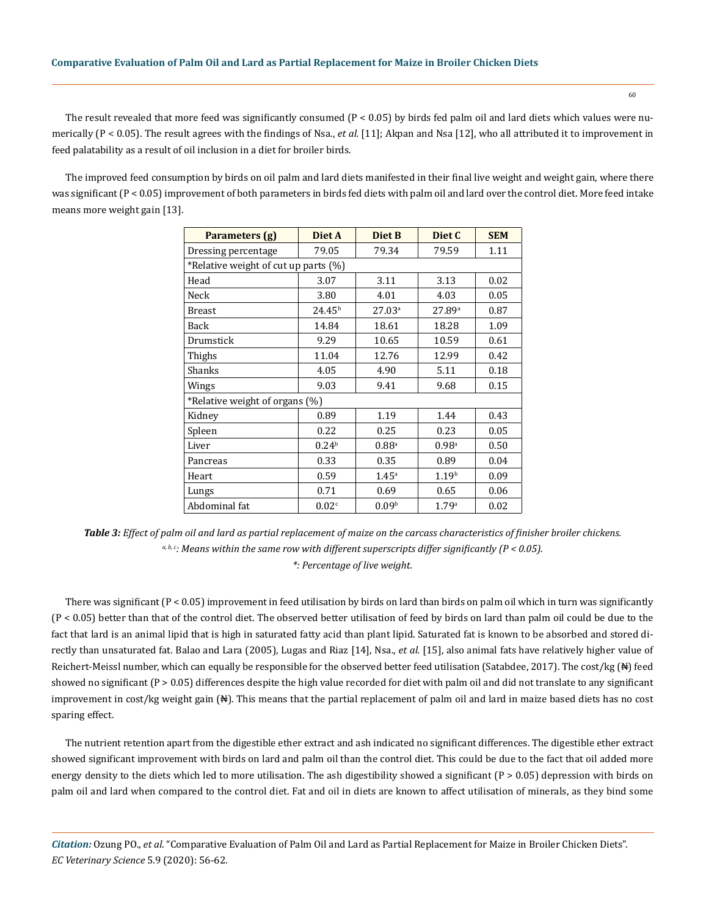The result revealed that more feed was significantly consumed  $(P < 0.05)$  by birds fed palm oil and lard diets which values were numerically (P < 0.05). The result agrees with the findings of Nsa., *et al.* [11]; Akpan and Nsa [12], who all attributed it to improvement in feed palatability as a result of oil inclusion in a diet for broiler birds.

The improved feed consumption by birds on oil palm and lard diets manifested in their final live weight and weight gain, where there was significant (P < 0.05) improvement of both parameters in birds fed diets with palm oil and lard over the control diet. More feed intake means more weight gain [13].

| Parameters (g)                       | Diet A             | Diet B              | Diet C            | <b>SEM</b> |  |  |  |  |  |
|--------------------------------------|--------------------|---------------------|-------------------|------------|--|--|--|--|--|
| Dressing percentage                  | 79.05              | 79.34               | 79.59             | 1.11       |  |  |  |  |  |
| *Relative weight of cut up parts (%) |                    |                     |                   |            |  |  |  |  |  |
| Head                                 | 3.07               | 3.11                | 3.13              | 0.02       |  |  |  |  |  |
| Neck                                 | 3.80               | 4.01                | 4.03              | 0.05       |  |  |  |  |  |
| Breast                               | 24.45 <sup>b</sup> | 27.03a              | 27.89a            | 0.87       |  |  |  |  |  |
| Back                                 | 14.84              | 18.61               | 18.28             | 1.09       |  |  |  |  |  |
| Drumstick                            | 9.29               | 10.65               | 10.59             | 0.61       |  |  |  |  |  |
| Thighs                               | 11.04              | 12.76               | 12.99             | 0.42       |  |  |  |  |  |
| Shanks                               | 4.05               | 4.90                | 5.11              | 0.18       |  |  |  |  |  |
| Wings                                | 9.03               | 9.41                | 9.68              | 0.15       |  |  |  |  |  |
| *Relative weight of organs (%)       |                    |                     |                   |            |  |  |  |  |  |
| Kidney                               | 0.89               | 1.19                | 1.44              | 0.43       |  |  |  |  |  |
| Spleen                               | 0.22               | 0.25                | 0.23              | 0.05       |  |  |  |  |  |
| Liver                                | 0.24 <sup>b</sup>  | $0.88$ <sup>a</sup> | 0.98 <sup>a</sup> | 0.50       |  |  |  |  |  |
| Pancreas                             | 0.33               | 0.35                | 0.89              | 0.04       |  |  |  |  |  |
| Heart                                | 0.59               | $1.45^{\circ}$      | 1.19 <sup>b</sup> | 0.09       |  |  |  |  |  |
| Lungs                                | 0.71               | 0.69                | 0.65              | 0.06       |  |  |  |  |  |
| Abdominal fat                        | 0.02c              | 0.09 <sup>b</sup>   | 1.79a             | 0.02       |  |  |  |  |  |

*Table 3: Effect of palm oil and lard as partial replacement of maize on the carcass characteristics of finisher broiler chickens. a, b, c: Means within the same row with different superscripts differ significantly (P < 0.05). \*: Percentage of live weight.*

There was significant (P < 0.05) improvement in feed utilisation by birds on lard than birds on palm oil which in turn was significantly (P < 0.05) better than that of the control diet. The observed better utilisation of feed by birds on lard than palm oil could be due to the fact that lard is an animal lipid that is high in saturated fatty acid than plant lipid. Saturated fat is known to be absorbed and stored directly than unsaturated fat. Balao and Lara (2005), Lugas and Riaz [14], Nsa., *et al.* [15], also animal fats have relatively higher value of Reichert-Meissl number, which can equally be responsible for the observed better feed utilisation (Satabdee, 2017). The cost/kg (N) feed showed no significant (P > 0.05) differences despite the high value recorded for diet with palm oil and did not translate to any significant improvement in cost/kg weight gain  $(\mathbb{N})$ . This means that the partial replacement of palm oil and lard in maize based diets has no cost sparing effect.

The nutrient retention apart from the digestible ether extract and ash indicated no significant differences. The digestible ether extract showed significant improvement with birds on lard and palm oil than the control diet. This could be due to the fact that oil added more energy density to the diets which led to more utilisation. The ash digestibility showed a significant  $(P > 0.05)$  depression with birds on palm oil and lard when compared to the control diet. Fat and oil in diets are known to affect utilisation of minerals, as they bind some

*Citation:* Ozung PO., *et al*. "Comparative Evaluation of Palm Oil and Lard as Partial Replacement for Maize in Broiler Chicken Diets". *EC Veterinary Science* 5.9 (2020): 56-62.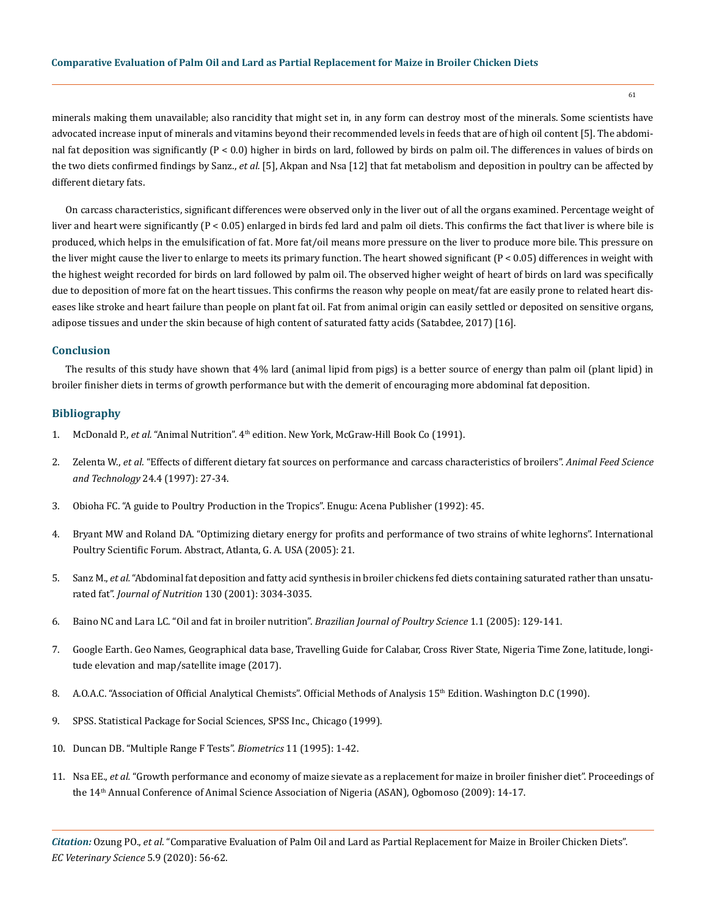minerals making them unavailable; also rancidity that might set in, in any form can destroy most of the minerals. Some scientists have advocated increase input of minerals and vitamins beyond their recommended levels in feeds that are of high oil content [5]. The abdominal fat deposition was significantly (P < 0.0) higher in birds on lard, followed by birds on palm oil. The differences in values of birds on the two diets confirmed findings by Sanz., *et al.* [5], Akpan and Nsa [12] that fat metabolism and deposition in poultry can be affected by different dietary fats.

On carcass characteristics, significant differences were observed only in the liver out of all the organs examined. Percentage weight of liver and heart were significantly (P < 0.05) enlarged in birds fed lard and palm oil diets. This confirms the fact that liver is where bile is produced, which helps in the emulsification of fat. More fat/oil means more pressure on the liver to produce more bile. This pressure on the liver might cause the liver to enlarge to meets its primary function. The heart showed significant  $(P < 0.05)$  differences in weight with the highest weight recorded for birds on lard followed by palm oil. The observed higher weight of heart of birds on lard was specifically due to deposition of more fat on the heart tissues. This confirms the reason why people on meat/fat are easily prone to related heart diseases like stroke and heart failure than people on plant fat oil. Fat from animal origin can easily settled or deposited on sensitive organs, adipose tissues and under the skin because of high content of saturated fatty acids (Satabdee, 2017) [16].

## **Conclusion**

The results of this study have shown that 4% lard (animal lipid from pigs) is a better source of energy than palm oil (plant lipid) in broiler finisher diets in terms of growth performance but with the demerit of encouraging more abdominal fat deposition.

## **Bibliography**

- 1. McDonald P., *et al.* "Animal Nutrition". 4th edition. New York, McGraw-Hill Book Co (1991).
- 2. Zelenta W., *et al.* ["Effects of different dietary fat sources on performance and carcass characteristics of broilers".](https://www.sciencedirect.com/science/article/pii/S0377840196011261) *Animal Feed Science and Technology* [24.4 \(1997\): 27-34.](https://www.sciencedirect.com/science/article/pii/S0377840196011261)
- 3. Obioha FC. "A guide to Poultry Production in the Tropics". Enugu: Acena Publisher (1992): 45.
- 4. Bryant MW and Roland DA. "Optimizing dietary energy for profits and performance of two strains of white leghorns". International Poultry Scientific Forum. Abstract, Atlanta, G. A. USA (2005): 21.
- 5. Sanz M., *et al.* ["Abdominal fat deposition and fatty acid synthesis in broiler chickens fed diets containing saturated rather than unsatu](https://academic.oup.com/jn/article/130/12/3034/4686276)rated fat". *Journal of Nutrition* [130 \(2001\): 3034-3035.](https://academic.oup.com/jn/article/130/12/3034/4686276)
- 6. [Baino NC and Lara LC. "Oil and fat in broiler nutrition".](https://www.scielo.br/scielo.php?pid=S1516-635X2005000300001&script=sci_abstract) *Brazilian Journal of Poultry Science* 1.1 (2005): 129-141.
- 7. Google Earth. Geo Names, Geographical data base, Travelling Guide for Calabar, Cross River State, Nigeria Time Zone, latitude, longitude elevation and map/satellite image (2017).
- 8. [A.O.A.C. "Association of Official Analytical Chemists". Official Methods of Analysis 15](https://link.springer.com/article/10.1007/BF02670789)th Edition. Washington D.C (1990).
- 9. SPSS. Statistical Package for Social Sciences, SPSS Inc., Chicago (1999).
- 10. Duncan DB. "Multiple Range F Tests". *Biometrics* 11 (1995): 1-42.
- 11. Nsa EE., *et al.* "Growth performance and economy of maize sievate as a replacement for maize in broiler finisher diet". Proceedings of the 14th Annual Conference of Animal Science Association of Nigeria (ASAN), Ogbomoso (2009): 14-17.

*Citation:* Ozung PO., *et al*. "Comparative Evaluation of Palm Oil and Lard as Partial Replacement for Maize in Broiler Chicken Diets". *EC Veterinary Science* 5.9 (2020): 56-62.